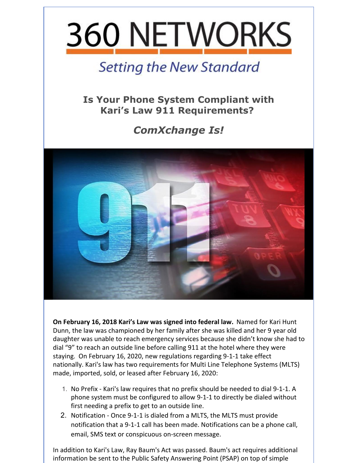

## **Setting the New Standard**

**Is Your Phone System Compliant with Kari's Law 911 Requirements?**

## *ComXchange Is!*



**On February 16, 2018 Kari's Law was signed into federal law.** Named for Kari Hunt Dunn, the law was championed by her family after she was killed and her 9 year old daughter was unable to reach emergency services because she didn't know she had to dial "9" to reach an outside line before calling 911 at the hotel where they were staying. On February 16, 2020, new regulations regarding 9-1-1 take effect nationally. Kari's law has two requirements for Multi Line Telephone Systems (MLTS) made, imported, sold, or leased after February 16, 2020:

- 1. No Prefix Kari's law requires that no prefix should be needed to dial 9-1-1. A phone system must be configured to allow 9-1-1 to directly be dialed without first needing a prefix to get to an outside line.
- 2. Notification Once 9-1-1 is dialed from a MLTS, the MLTS must provide notification that a 9-1-1 call has been made. Notifications can be a phone call, email, SMS text or conspicuous on-screen message.

In addition to Kari's Law, Ray Baum's Act was passed. Baum's act requires additional information be sent to the Public Safety Answering Point (PSAP) on top of simple